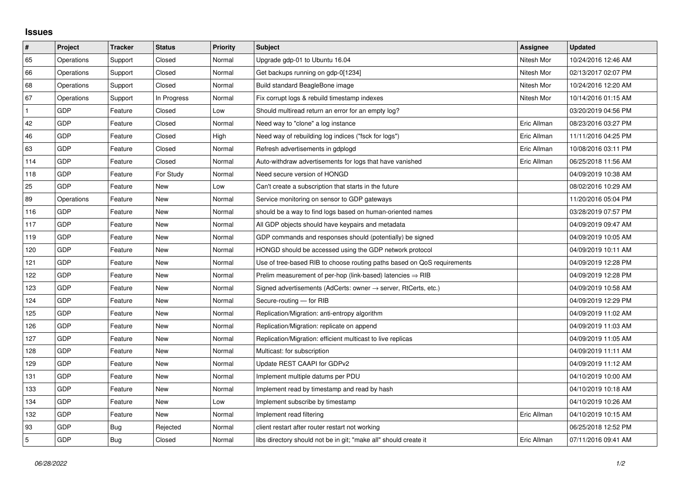## **Issues**

| $\vert$ #    | Project    | <b>Tracker</b> | <b>Status</b> | <b>Priority</b> | <b>Subject</b>                                                             | Assignee    | <b>Updated</b>      |
|--------------|------------|----------------|---------------|-----------------|----------------------------------------------------------------------------|-------------|---------------------|
| 65           | Operations | Support        | Closed        | Normal          | Upgrade gdp-01 to Ubuntu 16.04                                             | Nitesh Mor  | 10/24/2016 12:46 AM |
| 66           | Operations | Support        | Closed        | Normal          | Get backups running on gdp-0[1234]                                         | Nitesh Mor  | 02/13/2017 02:07 PM |
| 68           | Operations | Support        | Closed        | Normal          | Build standard BeagleBone image                                            | Nitesh Mor  | 10/24/2016 12:20 AM |
| 67           | Operations | Support        | In Progress   | Normal          | Fix corrupt logs & rebuild timestamp indexes                               | Nitesh Mor  | 10/14/2016 01:15 AM |
| $\mathbf{1}$ | <b>GDP</b> | Feature        | Closed        | Low             | Should multiread return an error for an empty log?                         |             | 03/20/2019 04:56 PM |
| 42           | <b>GDP</b> | Feature        | Closed        | Normal          | Need way to "clone" a log instance                                         | Eric Allman | 08/23/2016 03:27 PM |
| 46           | GDP        | Feature        | Closed        | High            | Need way of rebuilding log indices ("fsck for logs")                       | Eric Allman | 11/11/2016 04:25 PM |
| 63           | <b>GDP</b> | Feature        | Closed        | Normal          | Refresh advertisements in gdplogd                                          | Eric Allman | 10/08/2016 03:11 PM |
| 114          | <b>GDP</b> | Feature        | Closed        | Normal          | Auto-withdraw advertisements for logs that have vanished                   | Eric Allman | 06/25/2018 11:56 AM |
| 118          | <b>GDP</b> | Feature        | For Study     | Normal          | Need secure version of HONGD                                               |             | 04/09/2019 10:38 AM |
| 25           | <b>GDP</b> | Feature        | New           | Low             | Can't create a subscription that starts in the future                      |             | 08/02/2016 10:29 AM |
| 89           | Operations | Feature        | New           | Normal          | Service monitoring on sensor to GDP gateways                               |             | 11/20/2016 05:04 PM |
| 116          | <b>GDP</b> | Feature        | <b>New</b>    | Normal          | should be a way to find logs based on human-oriented names                 |             | 03/28/2019 07:57 PM |
| 117          | <b>GDP</b> | Feature        | New           | Normal          | All GDP objects should have keypairs and metadata                          |             | 04/09/2019 09:47 AM |
| 119          | <b>GDP</b> | Feature        | New           | Normal          | GDP commands and responses should (potentially) be signed                  |             | 04/09/2019 10:05 AM |
| 120          | <b>GDP</b> | Feature        | New           | Normal          | HONGD should be accessed using the GDP network protocol                    |             | 04/09/2019 10:11 AM |
| 121          | <b>GDP</b> | Feature        | New           | Normal          | Use of tree-based RIB to choose routing paths based on QoS requirements    |             | 04/09/2019 12:28 PM |
| 122          | <b>GDP</b> | Feature        | <b>New</b>    | Normal          | Prelim measurement of per-hop (link-based) latencies $\Rightarrow$ RIB     |             | 04/09/2019 12:28 PM |
| 123          | <b>GDP</b> | Feature        | <b>New</b>    | Normal          | Signed advertisements (AdCerts: owner $\rightarrow$ server, RtCerts, etc.) |             | 04/09/2019 10:58 AM |
| 124          | <b>GDP</b> | Feature        | <b>New</b>    | Normal          | Secure-routing - for RIB                                                   |             | 04/09/2019 12:29 PM |
| 125          | <b>GDP</b> | Feature        | New           | Normal          | Replication/Migration: anti-entropy algorithm                              |             | 04/09/2019 11:02 AM |
| 126          | <b>GDP</b> | Feature        | New           | Normal          | Replication/Migration: replicate on append                                 |             | 04/09/2019 11:03 AM |
| 127          | GDP        | Feature        | New           | Normal          | Replication/Migration: efficient multicast to live replicas                |             | 04/09/2019 11:05 AM |
| 128          | <b>GDP</b> | Feature        | New           | Normal          | Multicast: for subscription                                                |             | 04/09/2019 11:11 AM |
| 129          | <b>GDP</b> | Feature        | New           | Normal          | Update REST CAAPI for GDPv2                                                |             | 04/09/2019 11:12 AM |
| 131          | <b>GDP</b> | Feature        | New           | Normal          | Implement multiple datums per PDU                                          |             | 04/10/2019 10:00 AM |
| 133          | <b>GDP</b> | Feature        | <b>New</b>    | Normal          | Implement read by timestamp and read by hash                               |             | 04/10/2019 10:18 AM |
| 134          | <b>GDP</b> | Feature        | New           | Low             | Implement subscribe by timestamp                                           |             | 04/10/2019 10:26 AM |
| 132          | <b>GDP</b> | Feature        | New           | Normal          | Implement read filtering                                                   | Eric Allman | 04/10/2019 10:15 AM |
| 93           | <b>GDP</b> | Bug            | Rejected      | Normal          | client restart after router restart not working                            |             | 06/25/2018 12:52 PM |
| 5            | <b>GDP</b> | Bug            | Closed        | Normal          | libs directory should not be in git; "make all" should create it           | Eric Allman | 07/11/2016 09:41 AM |